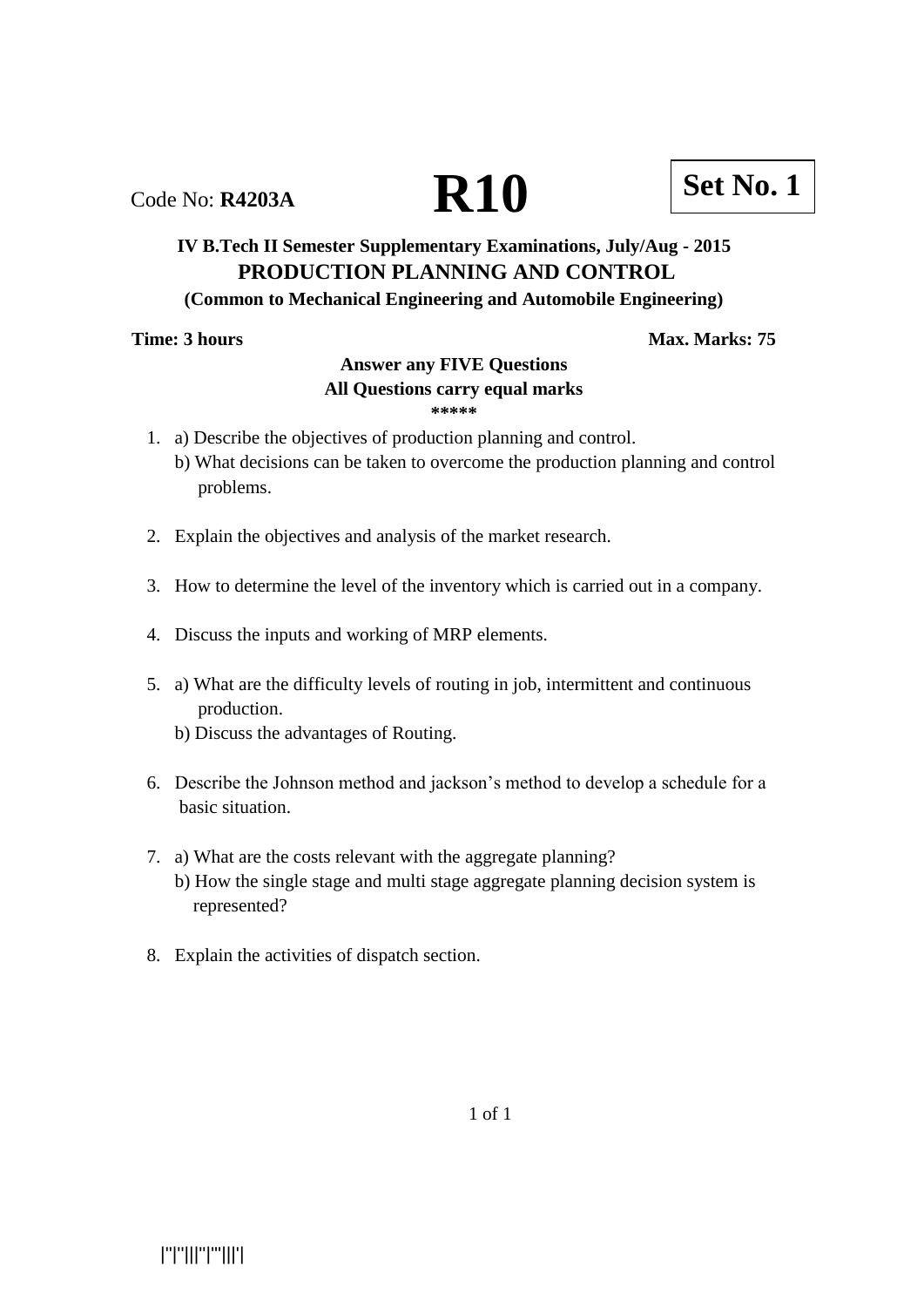|''|''|||''|'''|||'|

# **IV B.Tech II Semester Supplementary Examinations, July/Aug - 2015 PRODUCTION PLANNING AND CONTROL**

### **(Common to Mechanical Engineering and Automobile Engineering)**

**Time: 3 hours** Max. Marks: 75

## **Answer any FIVE Questions**

# **All Questions carry equal marks**

- **\*\*\*\*\***
- 1. a) Describe the objectives of production planning and control.
	- b) What decisions can be taken to overcome the production planning and control problems.
- 2. Explain the objectives and analysis of the market research.
- 3. How to determine the level of the inventory which is carried out in a company.
- 4. Discuss the inputs and working of MRP elements.
- 5. a) What are the difficulty levels of routing in job, intermittent and continuous production.
	- b) Discuss the advantages of Routing.
- 6. Describe the Johnson method and jackson's method to develop a schedule for a basic situation.
- 7. a) What are the costs relevant with the aggregate planning?
	- b) How the single stage and multi stage aggregate planning decision system is represented?
- 8. Explain the activities of dispatch section.

1 of 1

Code No: **R4203A R10 Set No. 1**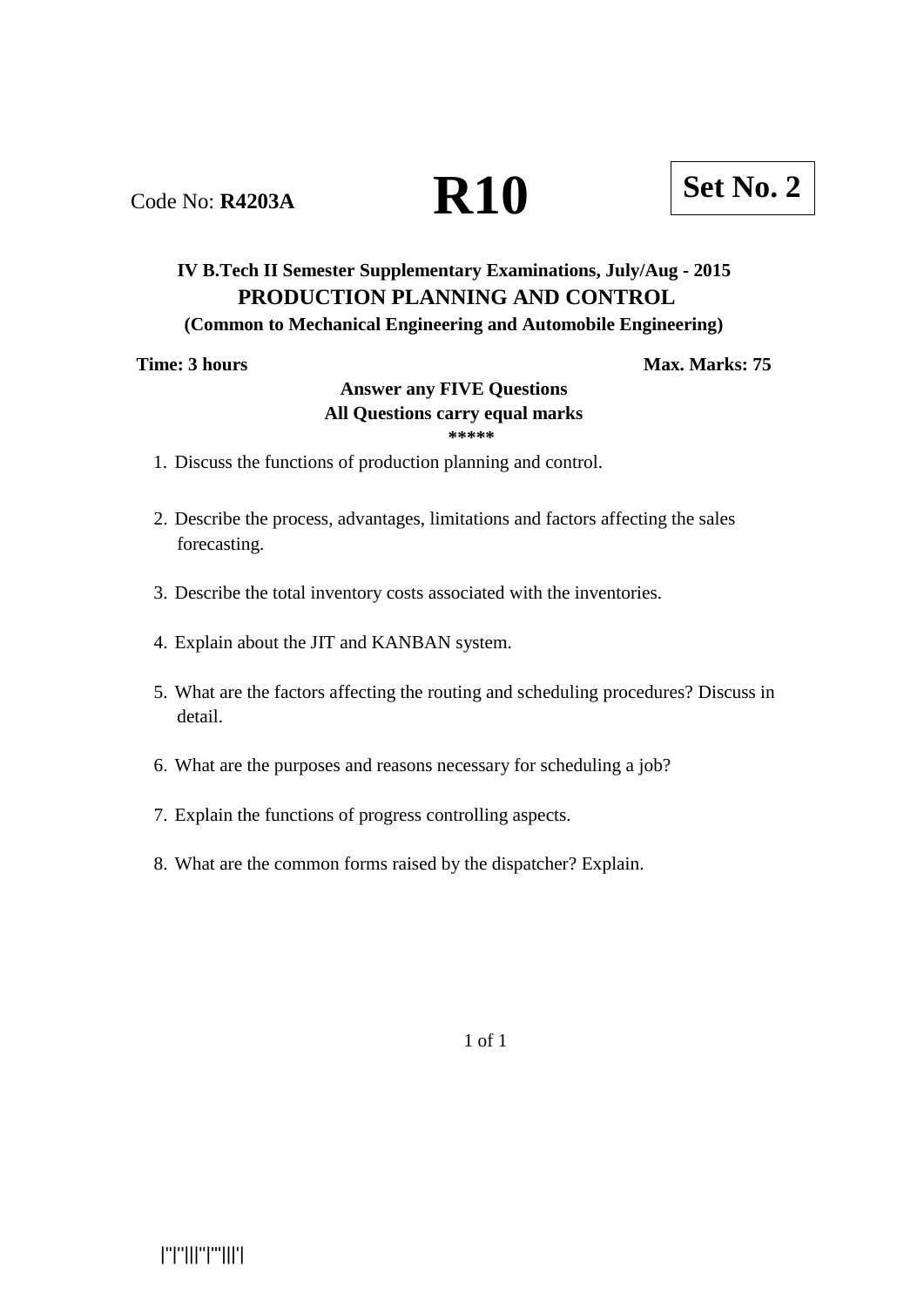# Code No: **R4203A R10 Set No. 2**

# **IV B.Tech II Semester Supplementary Examinations, July/Aug - 2015 PRODUCTION PLANNING AND CONTROL**

# **(Common to Mechanical Engineering and Automobile Engineering)**

# **Time: 3 hours Max. Marks: 75**

## **Answer any FIVE Questions All Questions carry equal marks \*\*\*\*\***

- 1. Discuss the functions of production planning and control.
- 2. Describe the process, advantages, limitations and factors affecting the sales forecasting.
- 3. Describe the total inventory costs associated with the inventories.
- 4. Explain about the JIT and KANBAN system.
- 5. What are the factors affecting the routing and scheduling procedures? Discuss in detail.
- 6. What are the purposes and reasons necessary for scheduling a job?
- 7. Explain the functions of progress controlling aspects.
- 8. What are the common forms raised by the dispatcher? Explain.

1 of 1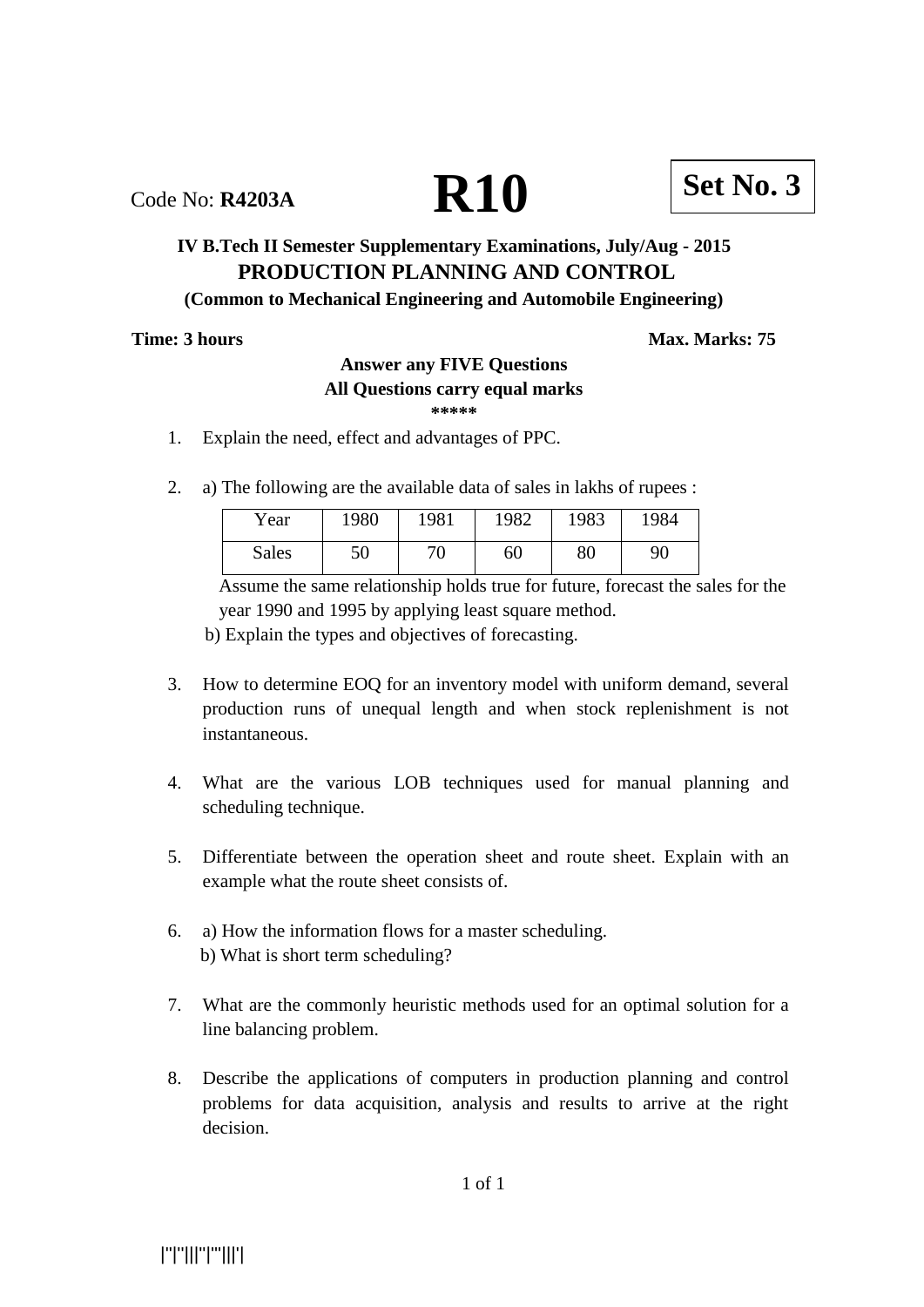Code No: **R4203A R10 Set No. 3**

# **IV B.Tech II Semester Supplementary Examinations, July/Aug - 2015 PRODUCTION PLANNING AND CONTROL**

# **(Common to Mechanical Engineering and Automobile Engineering)**

# **Time: 3 hours Max. Marks: 75**

# **Answer any FIVE Questions**

# **All Questions carry equal marks**

**\*\*\*\*\***

- 1. Explain the need, effect and advantages of PPC.
- 2. a) The following are the available data of sales in lakhs of rupees :

| Year  | 1980 | 1981 | 1982 | 1983 | 1984 |
|-------|------|------|------|------|------|
| Sales | 50   | 70   | 60   | 80   | 90   |

 Assume the same relationship holds true for future, forecast the sales for the year 1990 and 1995 by applying least square method.

b) Explain the types and objectives of forecasting.

- 3. How to determine EOQ for an inventory model with uniform demand, several production runs of unequal length and when stock replenishment is not instantaneous.
- 4. What are the various LOB techniques used for manual planning and scheduling technique.
- 5. Differentiate between the operation sheet and route sheet. Explain with an example what the route sheet consists of.
- 6. a) How the information flows for a master scheduling. b) What is short term scheduling?
- 7. What are the commonly heuristic methods used for an optimal solution for a line balancing problem.
- 8. Describe the applications of computers in production planning and control problems for data acquisition, analysis and results to arrive at the right decision.

1 of 1

|''|''|||''|'''|||'|